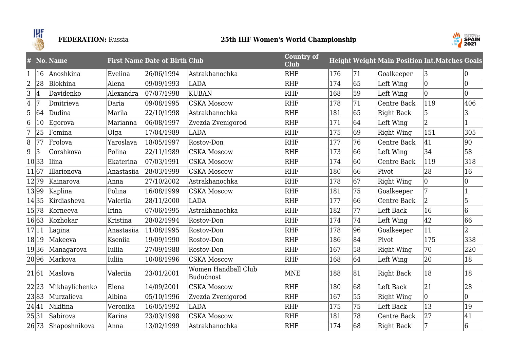

# **FEDERATION:** Russia **25th IHF Women's World Championship**



| #              |              | No. Name       |               | <b>First Name Date of Birth Club</b> |                                  | <b>Country of</b><br><b>Club</b> |     |                 | <b>Height Weight Main Position Int. Matches Goals</b> |             |              |
|----------------|--------------|----------------|---------------|--------------------------------------|----------------------------------|----------------------------------|-----|-----------------|-------------------------------------------------------|-------------|--------------|
| $\mathbf{1}$   | $ 16\rangle$ | Anoshkina      | Evelina       | 26/06/1994                           | lAstrakhanochka                  | <b>RHF</b>                       | 176 | 71              | Goalkeeper                                            | 3           | $ 0\rangle$  |
| $\overline{2}$ | 28           | Blokhina       | Alena         | 09/09/1993                           | <b>LADA</b>                      | <b>RHF</b>                       | 174 | 65              | Left Wing                                             | $ 0\rangle$ | 10           |
| $\overline{3}$ | 4            | Davidenko      | Alexandra     | 07/07/1998                           | <b>KUBAN</b>                     | <b>RHF</b>                       | 168 | 59              | Left Wing                                             | $ 0\rangle$ | 10           |
| $ 4\rangle$    | 17           | Dmitrieva      | Daria         | 09/08/1995                           | <b>CSKA Moscow</b>               | <b>RHF</b>                       | 178 | 71              | Centre Back                                           | 119         | 406          |
| 5              | 64           | Dudina         | Mariia        | 22/10/1998                           | Astrakhanochka                   | <b>RHF</b>                       | 181 | 65              | Right Back                                            | 5           | 3            |
| 6              | 10           | Egorova        | Marianna      | 06/08/1997                           | Zvezda Zvenigorod                | <b>RHF</b>                       | 171 | 64              | Left Wing                                             | $ 2\rangle$ | $\mathbf{1}$ |
| $\overline{7}$ | 25           | Fomina         | Olga          | 17/04/1989                           | LADA                             | <b>RHF</b>                       | 175 | 69              | <b>Right Wing</b>                                     | 151         | 305          |
| 8              | 77           | Frolova        | Yaroslava     | 18/05/1997                           | Rostov-Don                       | <b>RHF</b>                       | 177 | 76              | Centre Back                                           | 41          | 90           |
| 9              | 3            | Gorshkova      | Polina        | 22/11/1989                           | <b>CSKA Moscow</b>               | <b>RHF</b>                       | 173 | 66              | Left Wing                                             | 34          | 58           |
|                | 10 33        | Ilina          | Ekaterina     | 07/03/1991                           | <b>CSKA Moscow</b>               | <b>RHF</b>                       | 174 | 60              | Centre Back                                           | 119         | 318          |
|                | 11 67        | Illarionova    | Anastasiia    | 28/03/1999                           | <b>CSKA Moscow</b>               | <b>RHF</b>                       | 180 | 66              | Pivot                                                 | 28          | 16           |
|                | 12 79        | Kainarova      | Anna          | 27/10/2002                           | Astrakhanochka                   | <b>RHF</b>                       | 178 | 67              | <b>Right Wing</b>                                     | $ 0\rangle$ | $ 0\rangle$  |
|                | 13 99        | Kaplina        | Polina        | 16/08/1999                           | <b>CSKA Moscow</b>               | <b>RHF</b>                       | 181 | 75              | Goalkeeper                                            | 7           | $\vert$ 1    |
|                | 14 35        | Kirdiasheva    | Valeriia      | 28/11/2000                           | <b>LADA</b>                      | <b>RHF</b>                       | 177 | 66              | Centre Back                                           | $ 2\rangle$ | 5            |
|                | 15 78        | Korneeva       | Irina         | 07/06/1995                           | Astrakhanochka                   | <b>RHF</b>                       | 182 | 77              | Left Back                                             | 16          | 6            |
|                | 16 63        | Kozhokar       | Kristina      | 28/02/1994                           | Rostov-Don                       | <b>RHF</b>                       | 174 | 74              | Left Wing                                             | 42          | 66           |
|                | 17 11        | Lagina         | Anastasiia    | 11/08/1995                           | Rostov-Don                       | <b>RHF</b>                       | 178 | 96              | Goalkeeper                                            | 11          | 2            |
|                | 18 19        | Makeeva        | Kseniia       | 19/09/1990                           | Rostov-Don                       | <b>RHF</b>                       | 186 | 84              | Pivot                                                 | 175         | 338          |
|                | 19 36        | Managarova     | Iuliia        | 27/09/1988                           | Rostov-Don                       | <b>RHF</b>                       | 167 | $\overline{58}$ | <b>Right Wing</b>                                     | 70          | 220          |
|                | 20 96        | Markova        | <b>Iuliia</b> | 10/08/1996                           | <b>CSKA Moscow</b>               | <b>RHF</b>                       | 168 | 64              | Left Wing                                             | 20          | 18           |
|                | 21 61        | Maslova        | Valeriia      | 23/01/2001                           | Women Handball Club<br>Budućnost | <b>MNE</b>                       | 188 | 81              | <b>Right Back</b>                                     | 18          | 18           |
|                | 22 23        | Mikhaylichenko | Elena         | 14/09/2001                           | <b>CSKA Moscow</b>               | <b>RHF</b>                       | 180 | 68              | Left Back                                             | 21          | 28           |
|                | 23 83        | Murzalieva     | Albina        | 05/10/1996                           | Zvezda Zvenigorod                | <b>RHF</b>                       | 167 | 55              | <b>Right Wing</b>                                     | $ 0\rangle$ | 10           |
|                | 24 41        | Nikitina       | Veronika      | 16/05/1992                           | <b>LADA</b>                      | <b>RHF</b>                       | 175 | 75              | Left Back                                             | 13          | 19           |
|                | 25 31        | Sabirova       | Karina        | 23/03/1998                           | <b>CSKA Moscow</b>               | <b>RHF</b>                       | 181 | 78              | Centre Back                                           | 27          | 41           |
|                | 26 73        | Shaposhnikova  | Anna          | 13/02/1999                           | Astrakhanochka                   | <b>RHF</b>                       | 174 | 68              | <b>Right Back</b>                                     | 7           | 6            |